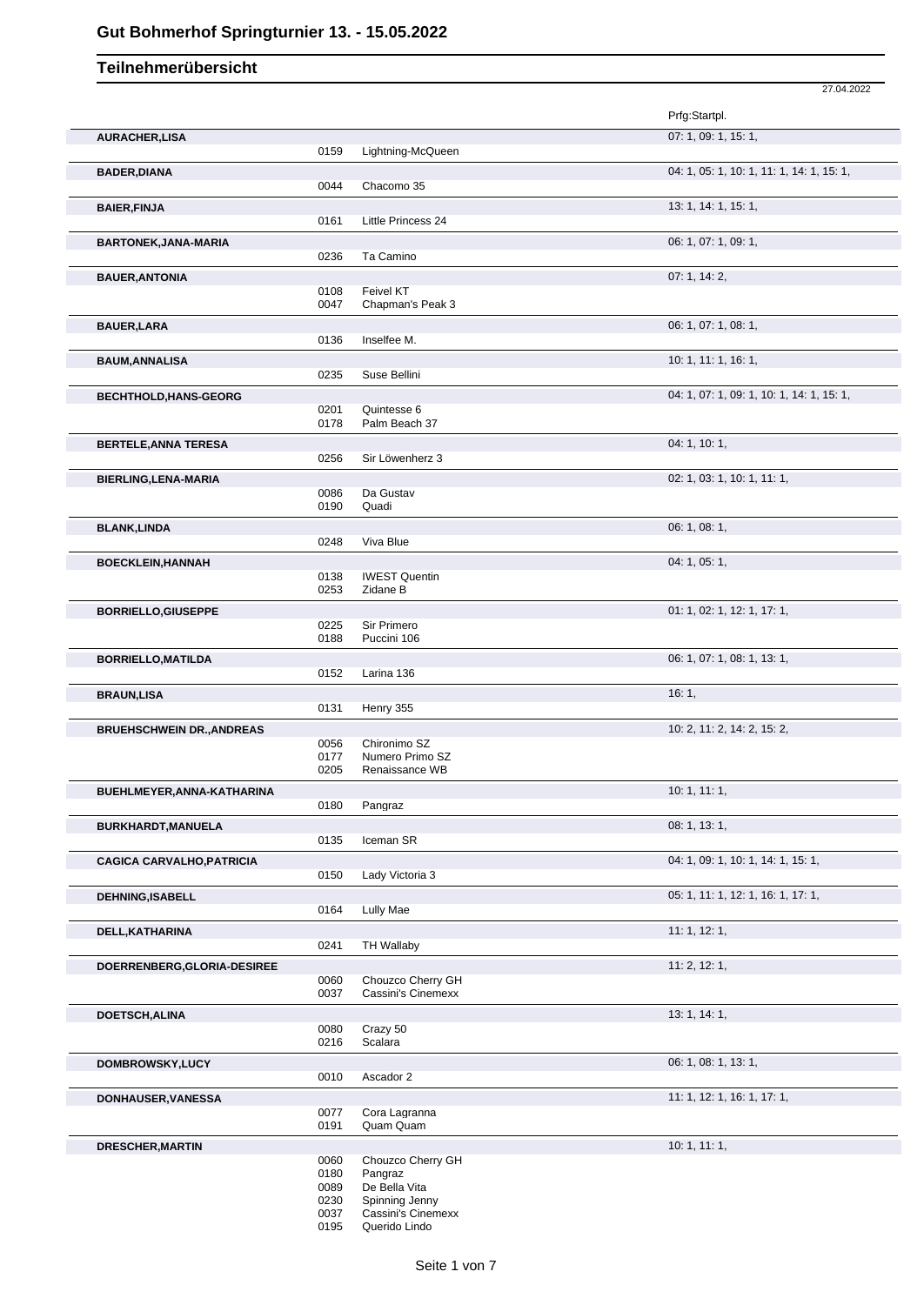|                                  |              |                                 | 27.04.2022                                |
|----------------------------------|--------------|---------------------------------|-------------------------------------------|
|                                  |              |                                 | Prfg:Startpl.                             |
| <b>AURACHER,LISA</b>             |              |                                 | 07: 1, 09: 1, 15: 1,                      |
|                                  | 0159         | Lightning-McQueen               |                                           |
| <b>BADER, DIANA</b>              |              |                                 | 04: 1, 05: 1, 10: 1, 11: 1, 14: 1, 15: 1, |
|                                  | 0044         | Chacomo 35                      |                                           |
| <b>BAIER, FINJA</b>              |              |                                 | 13: 1, 14: 1, 15: 1,                      |
|                                  | 0161         | Little Princess 24              |                                           |
| <b>BARTONEK, JANA-MARIA</b>      | 0236         | Ta Camino                       | 06: 1, 07: 1, 09: 1,                      |
| <b>BAUER, ANTONIA</b>            |              |                                 | 07: 1, 14: 2,                             |
|                                  | 0108         | Feivel KT                       |                                           |
|                                  | 0047         | Chapman's Peak 3                |                                           |
| <b>BAUER, LARA</b>               |              |                                 | 06: 1, 07: 1, 08: 1,                      |
|                                  | 0136         | Inselfee M.                     |                                           |
| <b>BAUM, ANNALISA</b>            |              |                                 | 10: 1, 11: 1, 16: 1,                      |
|                                  | 0235         | Suse Bellini                    |                                           |
| <b>BECHTHOLD,HANS-GEORG</b>      | 0201         | Quintesse 6                     | 04: 1, 07: 1, 09: 1, 10: 1, 14: 1, 15: 1, |
|                                  | 0178         | Palm Beach 37                   |                                           |
| <b>BERTELE, ANNA TERESA</b>      |              |                                 | 04: 1, 10: 1,                             |
|                                  | 0256         | Sir Löwenherz 3                 |                                           |
| BIERLING, LENA-MARIA             |              |                                 | 02: 1, 03: 1, 10: 1, 11: 1,               |
|                                  | 0086         | Da Gustav                       |                                           |
|                                  | 0190         | Quadi                           |                                           |
| <b>BLANK,LINDA</b>               |              |                                 | 06: 1, 08: 1,                             |
|                                  | 0248         | Viva Blue                       |                                           |
| <b>BOECKLEIN, HANNAH</b>         | 0138         | <b>IWEST Quentin</b>            | 04: 1, 05: 1,                             |
|                                  | 0253         | Zidane B                        |                                           |
| <b>BORRIELLO, GIUSEPPE</b>       |              |                                 | 01: 1, 02: 1, 12: 1, 17: 1,               |
|                                  | 0225         | Sir Primero                     |                                           |
|                                  | 0188         | Puccini 106                     |                                           |
| <b>BORRIELLO, MATILDA</b>        |              |                                 | 06: 1, 07: 1, 08: 1, 13: 1,               |
|                                  | 0152         | Larina 136                      |                                           |
| <b>BRAUN,LISA</b>                |              |                                 | 16:1,                                     |
|                                  | 0131         | Henry 355                       |                                           |
| <b>BRUEHSCHWEIN DR., ANDREAS</b> |              |                                 | 10: 2, 11: 2, 14: 2, 15: 2,               |
|                                  | 0056<br>0177 | Chironimo SZ<br>Numero Primo SZ |                                           |
|                                  | 0205         | Renaissance WB                  |                                           |
| BUEHLMEYER, ANNA-KATHARINA       |              |                                 | 10:1, 11:1,                               |
|                                  | 0180         | Pangraz                         |                                           |
| BURKHARDT, MANUELA               |              |                                 | 08: 1, 13: 1,                             |
|                                  | 0135         | Iceman SR                       |                                           |
| <b>CAGICA CARVALHO, PATRICIA</b> |              |                                 | 04: 1, 09: 1, 10: 1, 14: 1, 15: 1,        |
|                                  | 0150         | Lady Victoria 3                 |                                           |
| <b>DEHNING, ISABELL</b>          |              |                                 | 05: 1, 11: 1, 12: 1, 16: 1, 17: 1,        |
|                                  | 0164         | <b>Lully Mae</b>                |                                           |
| DELL, KATHARINA                  | 0241         | <b>TH Wallaby</b>               | 11: 1, 12: 1,                             |
|                                  |              |                                 |                                           |
| DOERRENBERG, GLORIA-DESIREE      | 0060         | Chouzco Cherry GH               | 11: 2, 12: 1,                             |
|                                  | 0037         | Cassini's Cinemexx              |                                           |
| <b>DOETSCH, ALINA</b>            |              |                                 | 13: 1, 14: 1,                             |
|                                  | 0080         | Crazy 50                        |                                           |
|                                  | 0216         | Scalara                         |                                           |
| DOMBROWSKY, LUCY                 |              |                                 | 06: 1, 08: 1, 13: 1,                      |
|                                  | 0010         | Ascador 2                       |                                           |
| DONHAUSER, VANESSA               |              |                                 | 11: 1, 12: 1, 16: 1, 17: 1,               |
|                                  | 0077<br>0191 | Cora Lagranna<br>Quam Quam      |                                           |
| <b>DRESCHER, MARTIN</b>          |              |                                 | 10: 1, 11: 1,                             |
|                                  | 0060         | Chouzco Cherry GH               |                                           |
|                                  | 0180         | Pangraz                         |                                           |
|                                  | 0089<br>0230 | De Bella Vita<br>Spinning Jenny |                                           |
|                                  | 0037         | Cassini's Cinemexx              |                                           |
|                                  | 0195         | Querido Lindo                   |                                           |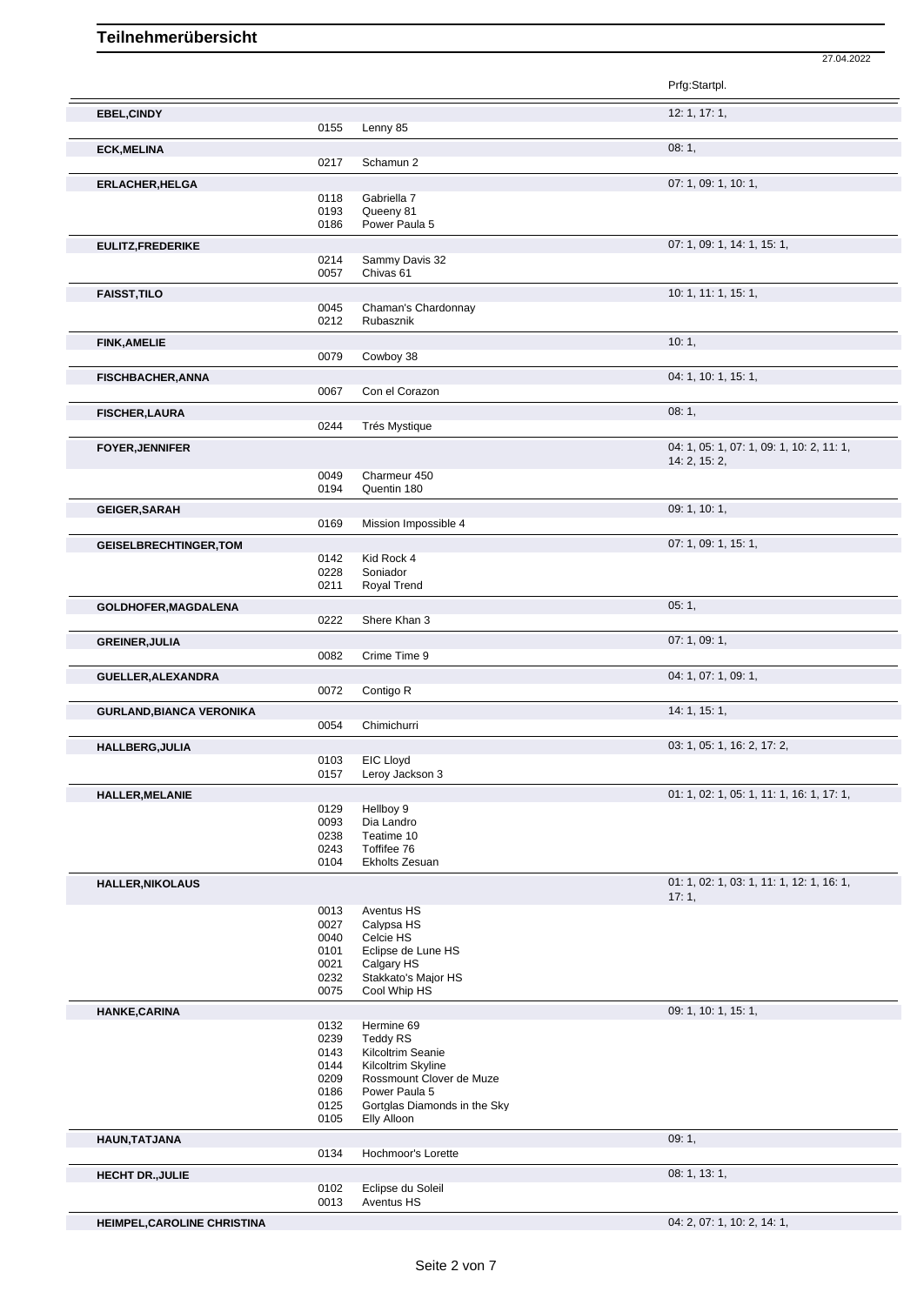|                                 |              |                                                | Prfg:Startpl.                                              |
|---------------------------------|--------------|------------------------------------------------|------------------------------------------------------------|
| <b>EBEL, CINDY</b>              |              |                                                | 12: 1, 17: 1,                                              |
|                                 | 0155         | Lenny 85                                       |                                                            |
| <b>ECK, MELINA</b>              |              |                                                | 08:1,                                                      |
|                                 | 0217         | Schamun 2                                      |                                                            |
| <b>ERLACHER, HELGA</b>          |              |                                                | 07: 1, 09: 1, 10: 1,                                       |
|                                 | 0118<br>0193 | Gabriella 7<br>Queeny 81                       |                                                            |
|                                 | 0186         | Power Paula 5                                  |                                                            |
| EULITZ, FREDERIKE               |              |                                                | 07: 1, 09: 1, 14: 1, 15: 1,                                |
|                                 | 0214         | Sammy Davis 32                                 |                                                            |
|                                 | 0057         | Chivas 61                                      |                                                            |
| <b>FAISST, TILO</b>             |              |                                                | 10: 1, 11: 1, 15: 1,                                       |
|                                 | 0045<br>0212 | Chaman's Chardonnay                            |                                                            |
|                                 |              | Rubasznik                                      |                                                            |
| <b>FINK, AMELIE</b>             | 0079         | Cowboy 38                                      | 10:1,                                                      |
|                                 |              |                                                |                                                            |
| <b>FISCHBACHER, ANNA</b>        | 0067         | Con el Corazon                                 | 04: 1, 10: 1, 15: 1,                                       |
|                                 |              |                                                |                                                            |
| <b>FISCHER, LAURA</b>           | 0244         | <b>Trés Mystique</b>                           | 08:1,                                                      |
|                                 |              |                                                |                                                            |
| <b>FOYER, JENNIFER</b>          |              |                                                | 04: 1, 05: 1, 07: 1, 09: 1, 10: 2, 11: 1,<br>14: 2, 15: 2, |
|                                 | 0049         | Charmeur 450                                   |                                                            |
|                                 | 0194         | Quentin 180                                    |                                                            |
| <b>GEIGER, SARAH</b>            |              |                                                | 09: 1, 10: 1,                                              |
|                                 | 0169         | Mission Impossible 4                           |                                                            |
| <b>GEISELBRECHTINGER, TOM</b>   |              |                                                | 07: 1, 09: 1, 15: 1,                                       |
|                                 | 0142         | Kid Rock 4                                     |                                                            |
|                                 | 0228<br>0211 | Soniador<br>Royal Trend                        |                                                            |
|                                 |              |                                                |                                                            |
| GOLDHOFER, MAGDALENA            | 0222         | Shere Khan 3                                   | 05:1,                                                      |
|                                 |              |                                                |                                                            |
| <b>GREINER, JULIA</b>           | 0082         | Crime Time 9                                   | 07:1,09:1,                                                 |
|                                 |              |                                                |                                                            |
| GUELLER, ALEXANDRA              | 0072         | Contigo R                                      | 04: 1, 07: 1, 09: 1,                                       |
|                                 |              |                                                |                                                            |
| <b>GURLAND, BIANCA VERONIKA</b> | 0054         | Chimichurri                                    | 14: 1, 15: 1,                                              |
| <b>HALLBERG, JULIA</b>          |              |                                                | 03: 1, 05: 1, 16: 2, 17: 2,                                |
|                                 | 0103         | <b>EIC Lloyd</b>                               |                                                            |
|                                 | 015/         | Leroy Jackson 3                                |                                                            |
| <b>HALLER, MELANIE</b>          |              |                                                | 01: 1, 02: 1, 05: 1, 11: 1, 16: 1, 17: 1,                  |
|                                 | 0129         | Hellboy 9                                      |                                                            |
|                                 | 0093<br>0238 | Dia Landro<br>Teatime 10                       |                                                            |
|                                 | 0243         | Toffifee 76                                    |                                                            |
|                                 | 0104         | Ekholts Zesuan                                 |                                                            |
| <b>HALLER, NIKOLAUS</b>         |              |                                                | 01: 1, 02: 1, 03: 1, 11: 1, 12: 1, 16: 1,                  |
|                                 |              |                                                | 17:1,                                                      |
|                                 | 0013<br>0027 | Aventus HS<br>Calypsa HS                       |                                                            |
|                                 | 0040         | Celcie HS                                      |                                                            |
|                                 | 0101         | Eclipse de Lune HS                             |                                                            |
|                                 | 0021         | Calgary HS                                     |                                                            |
|                                 | 0232<br>0075 | Stakkato's Major HS<br>Cool Whip HS            |                                                            |
| HANKE, CARINA                   |              |                                                | 09: 1, 10: 1, 15: 1,                                       |
|                                 | 0132         | Hermine 69                                     |                                                            |
|                                 | 0239         | <b>Teddy RS</b>                                |                                                            |
|                                 | 0143         | Kilcoltrim Seanie                              |                                                            |
|                                 | 0144<br>0209 | Kilcoltrim Skyline<br>Rossmount Clover de Muze |                                                            |
|                                 | 0186         | Power Paula 5                                  |                                                            |
|                                 | 0125         | Gortglas Diamonds in the Sky                   |                                                            |
|                                 | 0105         | Elly Alloon                                    |                                                            |
| HAUN, TATJANA                   |              |                                                | 09:1,                                                      |
|                                 | 0134         | Hochmoor's Lorette                             |                                                            |
| <b>HECHT DR., JULIE</b>         |              |                                                | 08: 1, 13: 1,                                              |

**HEIMPEL,CAROLINE CHRISTINA** 04: 2, 07: 1, 10: 2, 14: 1,

27.04.2022

Aventus HS

Eclipse du Soleil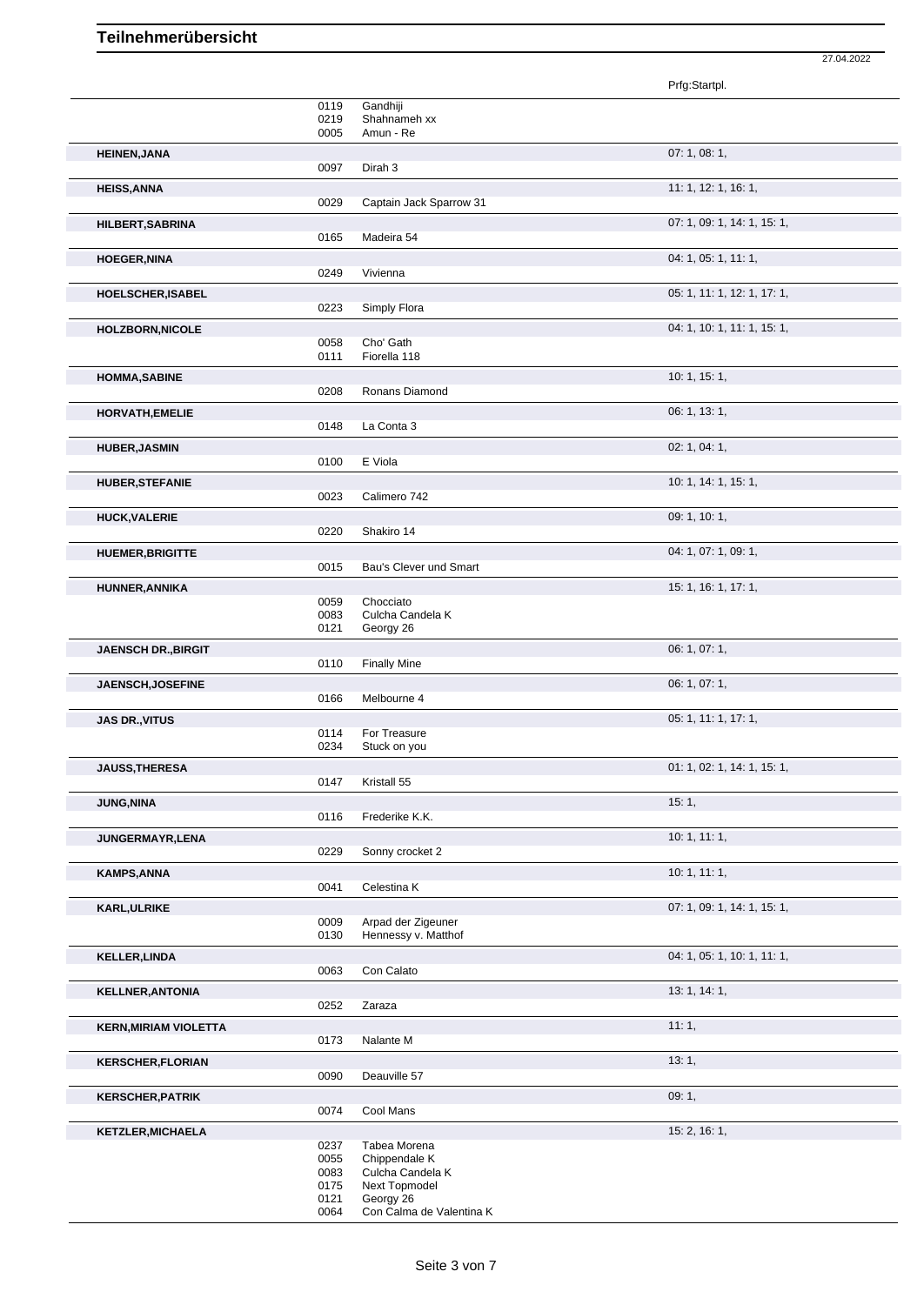27.04.2022

|                              |              |                                           | Prfg:Startpl.               |
|------------------------------|--------------|-------------------------------------------|-----------------------------|
|                              | 0119<br>0219 | Gandhiji<br>Shahnameh xx                  |                             |
|                              | 0005         | Amun - Re                                 |                             |
| <b>HEINEN, JANA</b>          |              |                                           | 07: 1, 08: 1,               |
|                              | 0097         | Dirah 3                                   |                             |
| <b>HEISS, ANNA</b>           |              |                                           | 11: 1, 12: 1, 16: 1,        |
|                              | 0029         | Captain Jack Sparrow 31                   |                             |
| HILBERT, SABRINA             | 0165         | Madeira 54                                | 07: 1, 09: 1, 14: 1, 15: 1, |
| <b>HOEGER, NINA</b>          |              |                                           | 04: 1, 05: 1, 11: 1,        |
|                              | 0249         | Vivienna                                  |                             |
| HOELSCHER, ISABEL            |              |                                           | 05: 1, 11: 1, 12: 1, 17: 1, |
|                              | 0223         | Simply Flora                              |                             |
| <b>HOLZBORN, NICOLE</b>      | 0058         | Cho' Gath                                 | 04: 1, 10: 1, 11: 1, 15: 1, |
|                              | 0111         | Fiorella 118                              |                             |
| <b>HOMMA, SABINE</b>         |              |                                           | 10: 1, 15: 1,               |
|                              | 0208         | Ronans Diamond                            |                             |
| HORVATH, EMELIE              | 0148         | La Conta 3                                | 06: 1, 13: 1,               |
|                              |              |                                           |                             |
| <b>HUBER, JASMIN</b>         | 0100         | E Viola                                   | 02: 1, 04: 1,               |
| <b>HUBER, STEFANIE</b>       |              |                                           | 10: 1, 14: 1, 15: 1,        |
|                              | 0023         | Calimero 742                              |                             |
| <b>HUCK, VALERIE</b>         |              |                                           | 09: 1, 10: 1,               |
|                              | 0220         | Shakiro 14                                |                             |
| <b>HUEMER, BRIGITTE</b>      | 0015         | Bau's Clever und Smart                    | 04: 1, 07: 1, 09: 1,        |
|                              |              |                                           | 15: 1, 16: 1, 17: 1,        |
| HUNNER, ANNIKA               | 0059         | Chocciato                                 |                             |
|                              | 0083<br>0121 | Culcha Candela K<br>Georgy 26             |                             |
|                              |              |                                           | 06: 1, 07: 1,               |
| <b>JAENSCH DR., BIRGIT</b>   | 0110         | <b>Finally Mine</b>                       |                             |
| JAENSCH, JOSEFINE            |              |                                           | 06: 1, 07: 1,               |
|                              | 0166         | Melbourne 4                               |                             |
| <b>JAS DR., VITUS</b>        |              |                                           | 05: 1, 11: 1, 17: 1,        |
|                              | 0114<br>0234 | For Treasure<br>Stuck on you              |                             |
| <b>JAUSS, THERESA</b>        |              |                                           | 01: 1, 02: 1, 14: 1, 15: 1, |
|                              | 0147         | Kristall 55                               |                             |
| <b>JUNG, NINA</b>            |              |                                           | 15:1,                       |
|                              | 0116         | Frederike K.K.                            |                             |
| JUNGERMAYR, LENA             | 0229         | Sonny crocket 2                           | 10: 1, 11: 1,               |
| <b>KAMPS, ANNA</b>           |              |                                           | 10:1, 11:1,                 |
|                              | 0041         | Celestina K                               |                             |
| <b>KARL, ULRIKE</b>          |              |                                           | 07: 1, 09: 1, 14: 1, 15: 1, |
|                              | 0009<br>0130 | Arpad der Zigeuner<br>Hennessy v. Matthof |                             |
| <b>KELLER, LINDA</b>         |              |                                           | 04: 1, 05: 1, 10: 1, 11: 1, |
|                              | 0063         | Con Calato                                |                             |
| <b>KELLNER, ANTONIA</b>      |              |                                           | 13: 1, 14: 1,               |
|                              | 0252         | Zaraza                                    |                             |
| <b>KERN, MIRIAM VIOLETTA</b> |              |                                           | 11:1,                       |
|                              | 0173         | Nalante M                                 |                             |
| <b>KERSCHER, FLORIAN</b>     | 0090         | Deauville 57                              | 13:1,                       |
| <b>KERSCHER, PATRIK</b>      |              |                                           | 09:1,                       |
|                              | 0074         | Cool Mans                                 |                             |
| <b>KETZLER, MICHAELA</b>     |              |                                           | 15: 2, 16: 1,               |
|                              | 0237<br>0055 | Tabea Morena<br>Chippendale K             |                             |
|                              | 0083         | Culcha Candela K                          |                             |
|                              | 0175<br>0121 | Next Topmodel<br>Georgy 26                |                             |
|                              | 0064         | Con Calma de Valentina K                  |                             |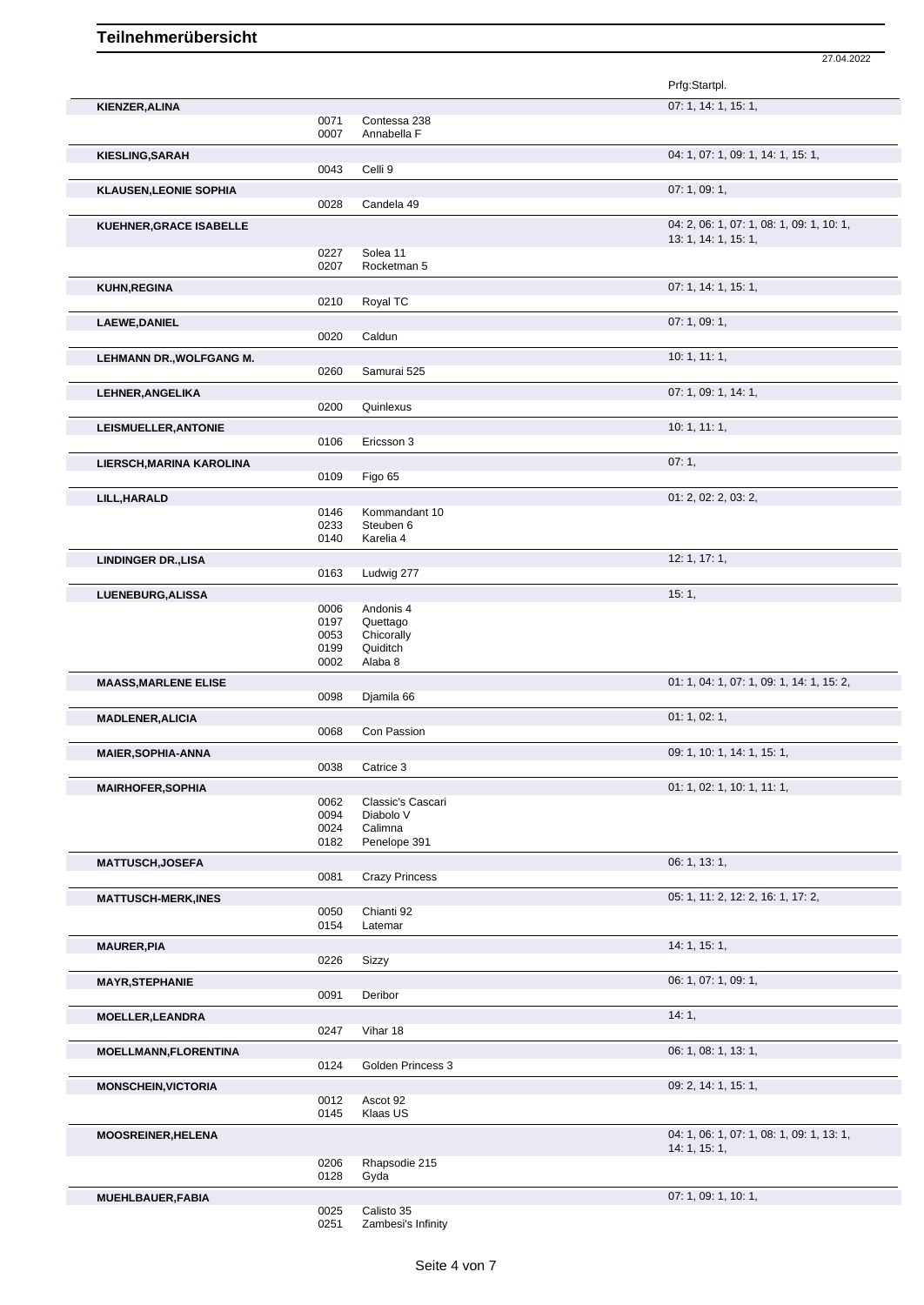|                                 |              |                         | 27.04.2022                                |
|---------------------------------|--------------|-------------------------|-------------------------------------------|
|                                 |              |                         | Prfg:Startpl.                             |
| KIENZER, ALINA                  |              |                         | 07: 1, 14: 1, 15: 1,                      |
|                                 | 0071         | Contessa 238            |                                           |
|                                 | 0007         | Annabella F             |                                           |
| <b>KIESLING, SARAH</b>          |              |                         | 04: 1, 07: 1, 09: 1, 14: 1, 15: 1,        |
|                                 | 0043         | Celli 9                 |                                           |
| <b>KLAUSEN, LEONIE SOPHIA</b>   |              |                         | 07: 1, 09: 1,                             |
|                                 | 0028         | Candela 49              |                                           |
| <b>KUEHNER, GRACE ISABELLE</b>  |              |                         | 04: 2, 06: 1, 07: 1, 08: 1, 09: 1, 10: 1, |
|                                 |              |                         | 13: 1, 14: 1, 15: 1,                      |
|                                 | 0227<br>0207 | Solea 11<br>Rocketman 5 |                                           |
|                                 |              |                         |                                           |
| <b>KUHN, REGINA</b>             | 0210         | Royal TC                | 07: 1, 14: 1, 15: 1,                      |
|                                 |              |                         |                                           |
| <b>LAEWE, DANIEL</b>            | 0020         | Caldun                  | 07:1,09:1,                                |
|                                 |              |                         |                                           |
| <b>LEHMANN DR., WOLFGANG M.</b> | 0260         | Samurai 525             | 10: 1, 11: 1,                             |
|                                 |              |                         |                                           |
| LEHNER, ANGELIKA                | 0200         | Quinlexus               | 07: 1, 09: 1, 14: 1,                      |
|                                 |              |                         |                                           |
| LEISMUELLER, ANTONIE            | 0106         | Ericsson 3              | 10: 1, 11: 1,                             |
|                                 |              |                         |                                           |
| LIERSCH, MARINA KAROLINA        | 0109         | Figo 65                 | 07:1,                                     |
|                                 |              |                         |                                           |
| LILL, HARALD                    | 0146         | Kommandant 10           | 01: 2, 02: 2, 03: 2,                      |
|                                 | 0233         | Steuben 6               |                                           |
|                                 | 0140         | Karelia 4               |                                           |
| <b>LINDINGER DR., LISA</b>      |              |                         | 12: 1, 17: 1,                             |
|                                 | 0163         | Ludwig 277              |                                           |
| LUENEBURG, ALISSA               |              |                         | 15:1,                                     |
|                                 | 0006         | Andonis 4               |                                           |
|                                 | 0197         | Quettago                |                                           |
|                                 | 0053<br>0199 | Chicorally<br>Quiditch  |                                           |
|                                 | 0002         | Alaba 8                 |                                           |
| <b>MAASS, MARLENE ELISE</b>     |              |                         | 01: 1, 04: 1, 07: 1, 09: 1, 14: 1, 15: 2, |
|                                 | 0098         | Djamila 66              |                                           |
| <b>MADLENER, ALICIA</b>         |              |                         | 01: 1, 02: 1,                             |
|                                 | 0068         | Con Passion             |                                           |
| <b>MAIER, SOPHIA-ANNA</b>       |              |                         | 09: 1, 10: 1, 14: 1, 15: 1,               |
|                                 | 0038         | Catrice 3               |                                           |
| <b>MAIRHOFER, SOPHIA</b>        |              |                         | 01: 1, 02: 1, 10: 1, 11: 1,               |
|                                 | 0062         | Classic's Cascari       |                                           |
|                                 | 0094         | Diabolo V               |                                           |
|                                 | 0024         | Calimna                 |                                           |
|                                 | 0182         | Penelope 391            |                                           |
| <b>MATTUSCH, JOSEFA</b>         | 0081         | <b>Crazy Princess</b>   | 06: 1, 13: 1,                             |
|                                 |              |                         |                                           |
| <b>MATTUSCH-MERK,INES</b>       | 0050         | Chianti 92              | 05: 1, 11: 2, 12: 2, 16: 1, 17: 2,        |
|                                 | 0154         | Latemar                 |                                           |
| <b>MAURER, PIA</b>              |              |                         | 14:1, 15:1,                               |
|                                 | 0226         | Sizzy                   |                                           |
| <b>MAYR, STEPHANIE</b>          |              |                         | 06: 1, 07: 1, 09: 1,                      |
|                                 | 0091         | Deribor                 |                                           |
| <b>MOELLER, LEANDRA</b>         |              |                         | 14:1,                                     |
|                                 | 0247         | Vihar 18                |                                           |
| <b>MOELLMANN,FLORENTINA</b>     |              |                         | 06: 1, 08: 1, 13: 1,                      |
|                                 | 0124         | Golden Princess 3       |                                           |
|                                 |              |                         | 09: 2, 14: 1, 15: 1,                      |
| <b>MONSCHEIN, VICTORIA</b>      | 0012         | Ascot 92                |                                           |
|                                 | 0145         | Klaas US                |                                           |
| <b>MOOSREINER, HELENA</b>       |              |                         | 04: 1, 06: 1, 07: 1, 08: 1, 09: 1, 13: 1, |
|                                 |              |                         | 14: 1, 15: 1,                             |
|                                 | 0206         | Rhapsodie 215           |                                           |
|                                 | 0128         | Gyda                    |                                           |
| MUEHLBAUER, FABIA               |              |                         | 07: 1, 09: 1, 10: 1,                      |
|                                 | 0025         | Calisto 35              |                                           |

<sup>0251</sup> Zambesi's Infinity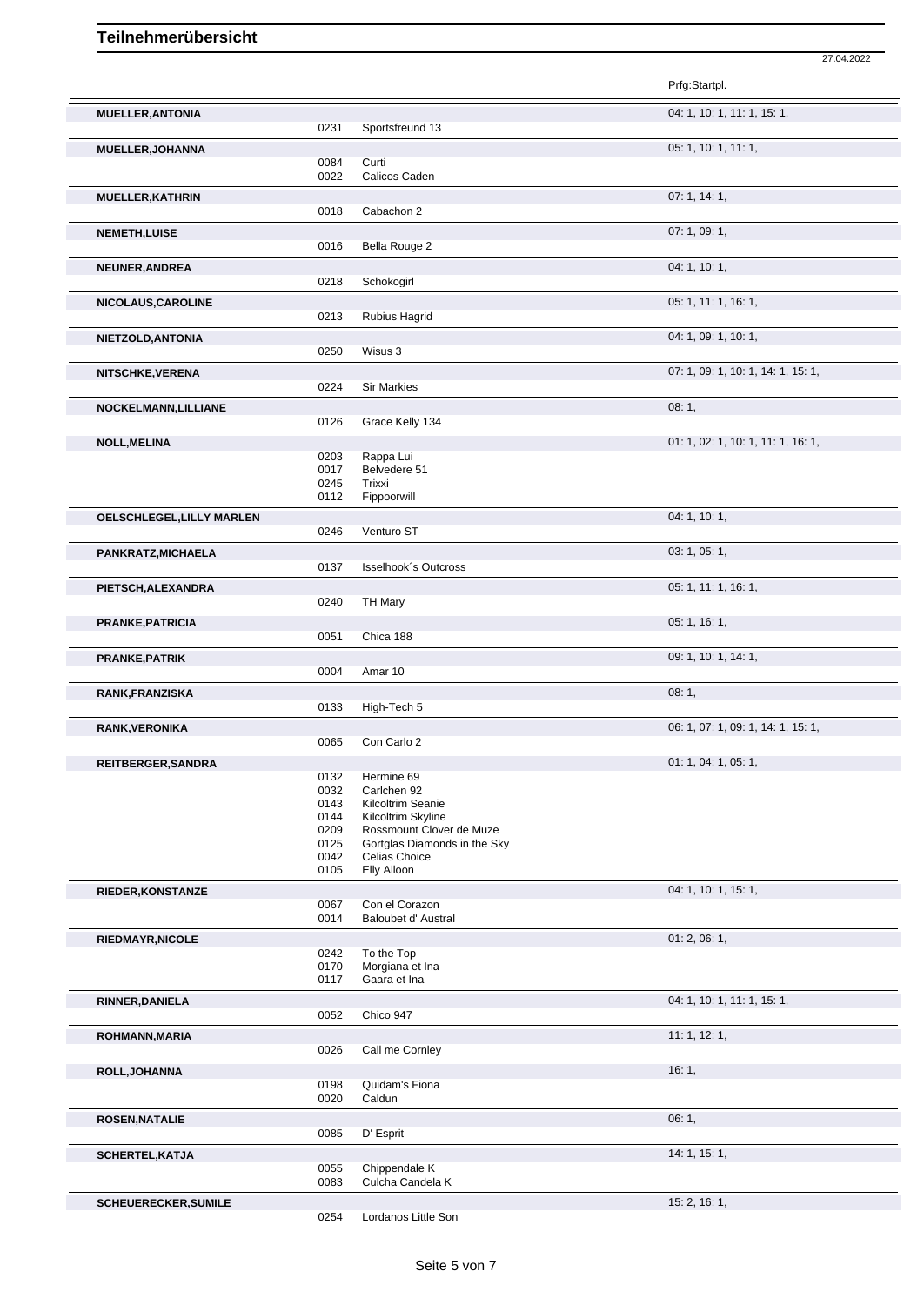|                             |              |                                                          | Prfg:Startpl.                      |
|-----------------------------|--------------|----------------------------------------------------------|------------------------------------|
| <b>MUELLER, ANTONIA</b>     |              |                                                          | 04: 1, 10: 1, 11: 1, 15: 1,        |
|                             | 0231         | Sportsfreund 13                                          |                                    |
| <b>MUELLER, JOHANNA</b>     |              |                                                          | 05: 1, 10: 1, 11: 1,               |
|                             | 0084         | Curti                                                    |                                    |
|                             | 0022         | Calicos Caden                                            |                                    |
| <b>MUELLER, KATHRIN</b>     |              |                                                          | 07:1, 14:1,                        |
|                             | 0018         | Cabachon 2                                               |                                    |
| <b>NEMETH, LUISE</b>        | 0016         | Bella Rouge 2                                            | 07:1,09:1,                         |
|                             |              |                                                          |                                    |
| NEUNER, ANDREA              | 0218         | Schokogirl                                               | 04: 1, 10: 1,                      |
|                             |              |                                                          | 05: 1, 11: 1, 16: 1,               |
| NICOLAUS, CAROLINE          | 0213         | Rubius Hagrid                                            |                                    |
| NIETZOLD, ANTONIA           |              |                                                          | 04: 1, 09: 1, 10: 1,               |
|                             | 0250         | Wisus 3                                                  |                                    |
| NITSCHKE, VERENA            |              |                                                          | 07: 1, 09: 1, 10: 1, 14: 1, 15: 1, |
|                             | 0224         | <b>Sir Markies</b>                                       |                                    |
| NOCKELMANN, LILLIANE        |              |                                                          | 08:1,                              |
|                             | 0126         | Grace Kelly 134                                          |                                    |
| <b>NOLL, MELINA</b>         |              |                                                          | 01: 1, 02: 1, 10: 1, 11: 1, 16: 1, |
|                             | 0203         | Rappa Lui                                                |                                    |
|                             | 0017<br>0245 | Belvedere 51<br>Trixxi                                   |                                    |
|                             | 0112         | Fippoorwill                                              |                                    |
| OELSCHLEGEL, LILLY MARLEN   |              |                                                          | 04: 1, 10: 1,                      |
|                             | 0246         | Venturo ST                                               |                                    |
| PANKRATZ, MICHAELA          |              |                                                          | 03: 1, 05: 1,                      |
|                             | 0137         | Isselhook's Outcross                                     |                                    |
| PIETSCH, ALEXANDRA          |              |                                                          | 05: 1, 11: 1, 16: 1,               |
|                             | 0240         | TH Mary                                                  |                                    |
| <b>PRANKE, PATRICIA</b>     |              |                                                          | 05: 1, 16: 1,                      |
|                             | 0051         | Chica 188                                                |                                    |
| PRANKE, PATRIK              | 0004         | Amar 10                                                  | 09: 1, 10: 1, 14: 1,               |
|                             |              |                                                          | 08:1,                              |
| RANK, FRANZISKA             | 0133         | High-Tech 5                                              |                                    |
| <b>RANK, VERONIKA</b>       |              |                                                          | 06: 1, 07: 1, 09: 1, 14: 1, 15: 1, |
|                             | 0065         | Con Carlo 2                                              |                                    |
| REITBERGER, SANDRA          |              |                                                          | 01: 1, 04: 1, 05: 1,               |
|                             | 0132         | Hermine 69                                               |                                    |
|                             | 0032<br>0143 | Carlchen 92<br>Kilcoltrim Seanie                         |                                    |
|                             | 0144         | Kilcoltrim Skyline                                       |                                    |
|                             | 0209         | Rossmount Clover de Muze<br>Gortglas Diamonds in the Sky |                                    |
|                             | 0125<br>0042 | Celias Choice                                            |                                    |
|                             | 0105         | Elly Alloon                                              |                                    |
| <b>RIEDER, KONSTANZE</b>    |              |                                                          | 04: 1, 10: 1, 15: 1,               |
|                             | 0067<br>0014 | Con el Corazon<br>Baloubet d' Austral                    |                                    |
|                             |              |                                                          |                                    |
| <b>RIEDMAYR, NICOLE</b>     | 0242         | To the Top                                               | 01:2,06:1,                         |
|                             | 0170         | Morgiana et Ina                                          |                                    |
|                             | 0117         | Gaara et Ina                                             |                                    |
| RINNER, DANIELA             |              |                                                          | 04: 1, 10: 1, 11: 1, 15: 1,        |
|                             | 0052         | Chico 947                                                |                                    |
| ROHMANN, MARIA              | 0026         | Call me Cornley                                          | 11: 1, 12: 1,                      |
|                             |              |                                                          | 16:1,                              |
| ROLL, JOHANNA               |              |                                                          |                                    |
|                             |              |                                                          |                                    |
|                             | 0198<br>0020 | Quidam's Fiona<br>Caldun                                 |                                    |
|                             |              |                                                          |                                    |
| <b>ROSEN, NATALIE</b>       | 0085         | D' Esprit                                                | 06:1,                              |
|                             |              |                                                          | 14: 1, 15: 1,                      |
| SCHERTEL, KATJA             | 0055         | Chippendale K                                            |                                    |
|                             | 0083         | Culcha Candela K                                         |                                    |
| <b>SCHEUERECKER, SUMILE</b> | 0254         | Lordanos Little Son                                      | 15: 2, 16: 1,                      |

27.04.2022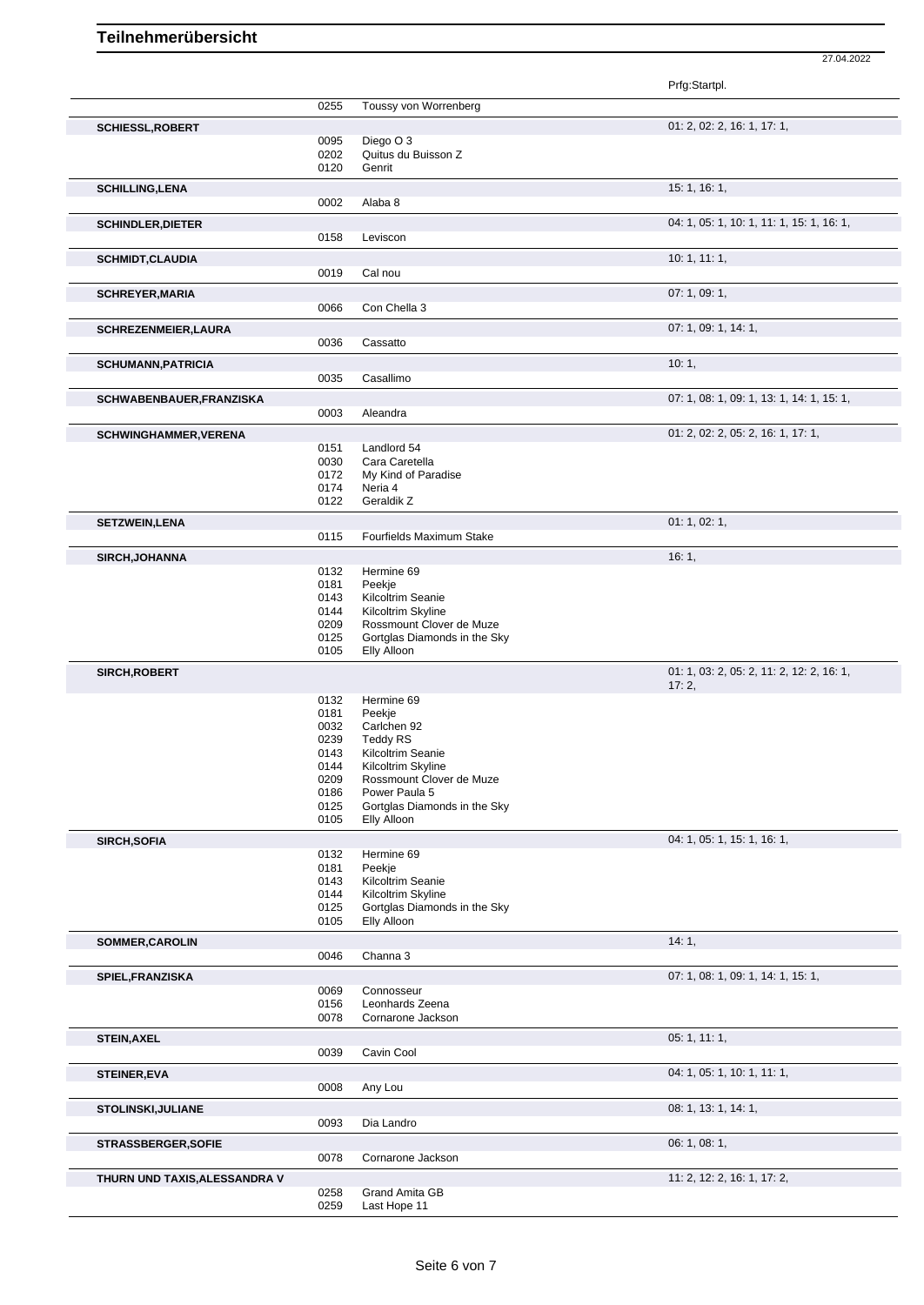Prfg:Startpl. 0255 Toussy von Worrenberg **SCHIESSL,ROBERT** 01: 2, 02: 2, 16: 1, 17: 1, 0095 Diego O 3 0202 Quitus du Buisson Z 0120 Genrit **SCHILLING,LENA** 15: 1, 16: 1, 16: 1, 16: 1, 16: 1, 16: 1, 16: 1, 16: 1, 16: 1, 16: 1, 16: 1, 16: 1, 16: 1, 16: 1, 16: 1, 16: 1, 16: 1, 16: 1, 16: 1, 16: 1, 16: 1, 16: 1, 16: 1, 16: 1, 16: 1, 16: 1, 16: 1, 16: 1, 16: 1, 16 0002 Alaba 8 **SCHINDLER, DIETER** 04: 1, 05: 1, 10: 1, 11: 1, 15: 1, 16: 1, 16: 1, 16: 1, 16: 1, 16: 1, 16: 1, 16: 1, 16: 1, 16: 1, 0158 Leviscon **SCHMIDT,CLAUDIA** 10: 1, 11: 1, 0019 Cal nou **SCHREYER, MARIA** 07: 1, 09: 1, 09: 1, 09: 1, 09: 1, 09: 1, 09: 1, 09: 1, 09: 1, 09: 1, 09: 1, 09: 1, 09: 1, 09: 1, 09: 1, 09: 1, 09: 1, 09: 1, 09: 1, 09: 1, 09: 1, 09: 1, 09: 1, 09: 1, 09: 1, 09: 1, 09: 1, 09: 1, 09: 1, 0 Con Chella 3 **SCHREZENMEIER,LAURA** 0036 Cassatto 07: 1, 09: 1, 14: 1, Cassatto **SCHUMANN,PATRICIA** 10: 1, 20035 Casallimo Casallimo **SCHWABENBAUER,FRANZISKA** 07: 1, 08: 1, 09: 1, 13: 1, 14: 1, 15: 1, 0003 Aleandra **SCHWINGHAMMER,VERENA** 01: 2, 02: 2, 05: 2, 16: 1, 17: 1, 0151 Landlord 54<br>0030 Cara Carete 0030 Cara Caretella<br>0172 My Kind of Par 0172 My Kind of Paradise<br>0174 Neria 4 0174 Neria 4<br>0122 Geraldil Geraldik Z **SETZWEIN,LENA** 01: 1, 02: 1, 0115 Fourfields Maximum Stake **SIRCH,JOHANNA** 16: 1, 0132 Hermine 69 0181 Peekje 0143 Kilcoltrim Seanie 0144 Kilcoltrim Skyline 0209 Rossmount Clover de Muze 0125 Gortglas Diamonds in the Sky 0105 Elly Alloon **SIRCH,ROBERT** 01: 1, 03: 2, 05: 2, 11: 2, 12: 2, 16: 1, 17: 2, 0132 Hermine 69<br>0181 Peekje 0181 Peekje<br>0032 Carlche 0032 Carlchen 92<br>0239 Teddy RS 0239 Teddy RS<br>0143 Kilcoltrim \$ 0143 Kilcoltrim Seanie<br>0144 Kilcoltrim Skyline 0144 Kilcoltrim Skyline<br>0209 Rossmount Clove 0209 Rossmount Clover de Muze<br>0186 Power Paula 5 Power Paula 5 0125 Gortglas Diamonds in the Sky<br>0105 Elly Alloon Elly Alloon **SIRCH,SOFIA** 04: 1, 05: 1, 15: 1, 16: 1, 05: 1, 16: 1, 06: 1, 16: 1, 16: 1, 05: 1, 16: 1, 16: 1, 05: 1, 16: 1, 16: 1, 05: 1, 16: 1, 05: 1, 16: 1, 05: 1, 16: 1, 05: 1, 16: 1, 05: 1, 16: 1, 05: 1, 16: 1, 05: 1, 05: 1, 16: 1 Hermine 69 0181 Peekje 0143 Kilcoltrim Seanie<br>0144 Kilcoltrim Skyline Kilcoltrim Skyline 0125 Gortglas Diamonds in the Sky 0105 Elly Alloon **SOMMER,CAROLIN** 14: 1, 0046 Channa 3 **SPIEL,FRANZISKA** 07: 1, 08: 1, 09: 1, 14: 1, 15: 1, 0069 Connosseur<br>0156 Leonhards Z 0156 Leonhards Zeena<br>0078 Cornarone Jackso Cornarone Jackson **STEIN,AXEL** 05: 1, 11: 1, 0039 Cavin Cool **STEINER,EVA** 04: 1, 05: 1, 10: 1, 11: 1, 0008 Any Lou **STOLINSKI,JULIANE** 08: 1, 13: 1, 14: 1, 0093 Dia Landro **STRASSBERGER,SOFIE** 06: 1, 08: 1, 0078 Cornarone Jackson **THURN UND TAXIS,ALESSANDRA V** 0258 Grand Amita GB 11: 2, 12: 2, 16: 1, 17: 2, 16: 1, 17: 2, 16: 1, 17: 2, 0258 Grand Amita GB<br>0259 Last Hope 11

27.04.2022

Last Hope 11